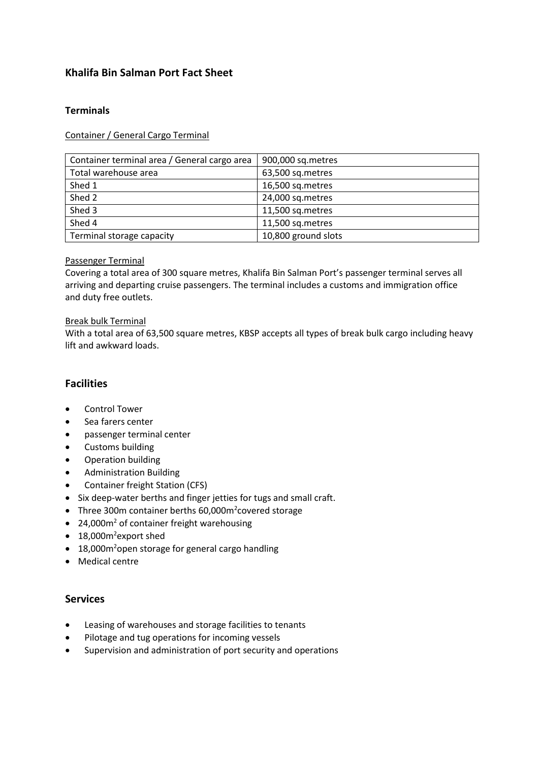## **Khalifa Bin Salman Port Fact Sheet**

## **Terminals**

Container / General Cargo Terminal

| Container terminal area / General cargo area | 900,000 sq.metres   |
|----------------------------------------------|---------------------|
| Total warehouse area                         | 63,500 sq.metres    |
| Shed 1                                       | 16,500 sq.metres    |
| Shed 2                                       | 24,000 sq.metres    |
| Shed 3                                       | 11,500 sq.metres    |
| Shed 4                                       | 11,500 sq.metres    |
| Terminal storage capacity                    | 10,800 ground slots |

#### Passenger Terminal

Covering a total area of 300 square metres, Khalifa Bin Salman Port's passenger terminal serves all arriving and departing cruise passengers. The terminal includes a customs and immigration office and duty free outlets.

#### Break bulk Terminal

With a total area of 63,500 square metres, KBSP accepts all types of break bulk cargo including heavy lift and awkward loads.

## **Facilities**

- Control Tower
- Sea farers center
- passenger terminal center
- Customs building
- Operation building
- Administration Building
- Container freight Station (CFS)
- Six deep-water berths and finger jetties for tugs and small craft.
- Three 300m container berths 60,000m<sup>2</sup>covered storage
- 24,000m<sup>2</sup> of container freight warehousing
- 18,000m<sup>2</sup>export shed
- $\bullet$  18,000m<sup>2</sup>open storage for general cargo handling
- Medical centre

## **Services**

- Leasing of warehouses and storage facilities to tenants
- Pilotage and tug operations for incoming vessels
- Supervision and administration of port security and operations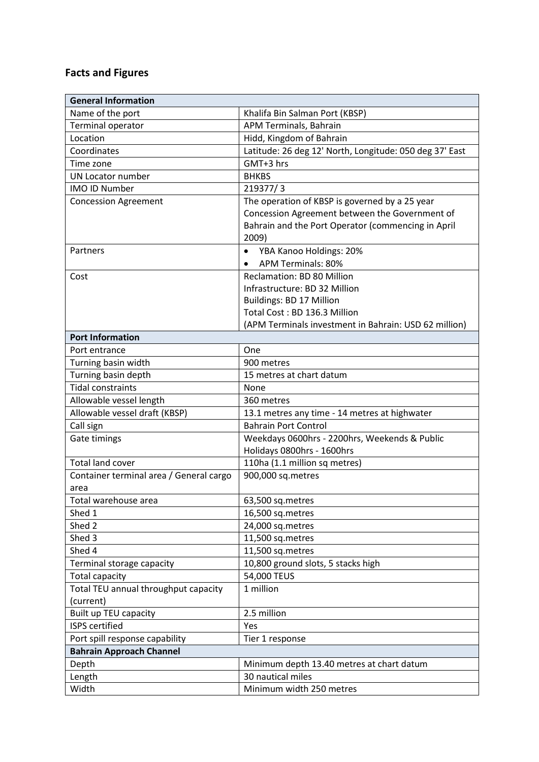# **Facts and Figures**

| <b>General Information</b>                      |                                                             |
|-------------------------------------------------|-------------------------------------------------------------|
| Name of the port                                | Khalifa Bin Salman Port (KBSP)                              |
| Terminal operator                               | APM Terminals, Bahrain                                      |
| Location                                        | Hidd, Kingdom of Bahrain                                    |
| Coordinates                                     | Latitude: 26 deg 12' North, Longitude: 050 deg 37' East     |
| Time zone                                       | GMT+3 hrs                                                   |
| <b>UN Locator number</b>                        | <b>BHKBS</b>                                                |
| <b>IMO ID Number</b>                            | 219377/3                                                    |
| <b>Concession Agreement</b>                     | The operation of KBSP is governed by a 25 year              |
|                                                 | Concession Agreement between the Government of              |
|                                                 | Bahrain and the Port Operator (commencing in April<br>2009) |
| Partners                                        | YBA Kanoo Holdings: 20%                                     |
|                                                 | <b>APM Terminals: 80%</b>                                   |
| Cost                                            | <b>Reclamation: BD 80 Million</b>                           |
|                                                 | Infrastructure: BD 32 Million                               |
|                                                 | Buildings: BD 17 Million                                    |
|                                                 | Total Cost: BD 136.3 Million                                |
|                                                 | (APM Terminals investment in Bahrain: USD 62 million)       |
| <b>Port Information</b>                         |                                                             |
| Port entrance                                   | One                                                         |
| Turning basin width                             | 900 metres                                                  |
| Turning basin depth                             | 15 metres at chart datum                                    |
| <b>Tidal constraints</b>                        | None                                                        |
| Allowable vessel length                         | 360 metres                                                  |
| Allowable vessel draft (KBSP)                   | 13.1 metres any time - 14 metres at highwater               |
| Call sign                                       | <b>Bahrain Port Control</b>                                 |
| Gate timings                                    | Weekdays 0600hrs - 2200hrs, Weekends & Public               |
|                                                 | Holidays 0800hrs - 1600hrs                                  |
| <b>Total land cover</b>                         | 110ha (1.1 million sq metres)                               |
| Container terminal area / General cargo<br>area | 900,000 sq.metres                                           |
| Total warehouse area                            | 63,500 sq.metres                                            |
| Shed 1                                          | 16,500 sq.metres                                            |
| Shed 2                                          | 24,000 sq.metres                                            |
| Shed 3                                          | 11,500 sq.metres                                            |
| Shed 4                                          | 11,500 sq.metres                                            |
| Terminal storage capacity                       | 10,800 ground slots, 5 stacks high                          |
| <b>Total capacity</b>                           | 54,000 TEUS                                                 |
| Total TEU annual throughput capacity            | 1 million                                                   |
| (current)                                       |                                                             |
| Built up TEU capacity                           | 2.5 million                                                 |
| <b>ISPS</b> certified                           | Yes                                                         |
| Port spill response capability                  | Tier 1 response                                             |
| <b>Bahrain Approach Channel</b>                 |                                                             |
| Depth                                           | Minimum depth 13.40 metres at chart datum                   |
| Length                                          | 30 nautical miles                                           |
| Width                                           | Minimum width 250 metres                                    |